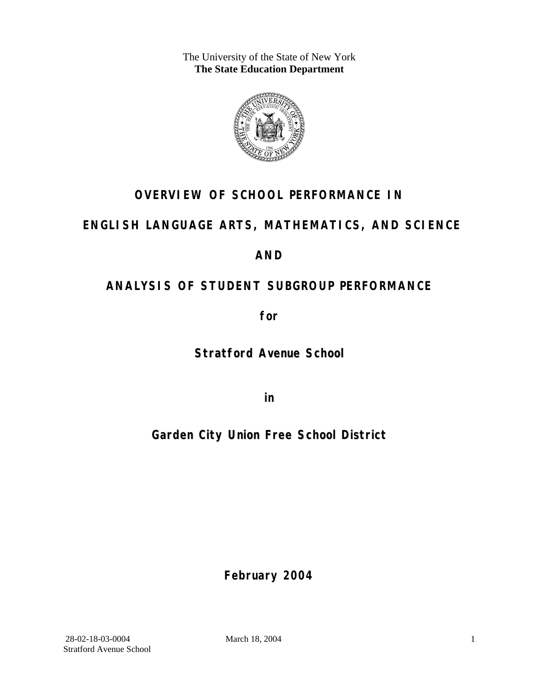The University of the State of New York **The State Education Department** 



## **OVERVIEW OF SCHOOL PERFORMANCE IN**

### **ENGLISH LANGUAGE ARTS, MATHEMATICS, AND SCIENCE**

### **AND**

## **ANALYSIS OF STUDENT SUBGROUP PERFORMANCE**

**for** 

**Stratford Avenue School**

**in** 

## **Garden City Union Free School District**

**February 2004**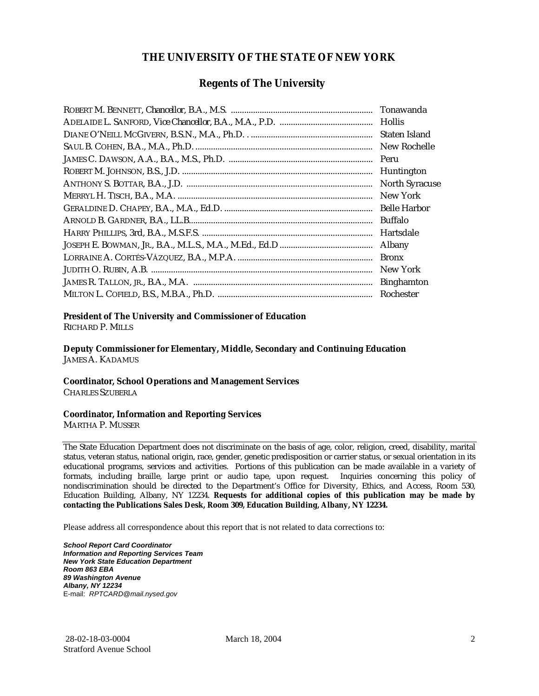#### **THE UNIVERSITY OF THE STATE OF NEW YORK**

#### **Regents of The University**

| Tonawanda             |
|-----------------------|
| <b>Hollis</b>         |
| Staten Island         |
| New Rochelle          |
| Peru                  |
| Huntington            |
| <b>North Syracuse</b> |
| New York              |
| <b>Belle Harbor</b>   |
| Buffalo               |
| Hartsdale             |
| Albany                |
| <b>Bronx</b>          |
| New York              |
| <b>Binghamton</b>     |
| Rochester             |

#### **President of The University and Commissioner of Education**

RICHARD P. MILLS

**Deputy Commissioner for Elementary, Middle, Secondary and Continuing Education**  JAMES A. KADAMUS

#### **Coordinator, School Operations and Management Services**

CHARLES SZUBERLA

#### **Coordinator, Information and Reporting Services**

MARTHA P. MUSSER

The State Education Department does not discriminate on the basis of age, color, religion, creed, disability, marital status, veteran status, national origin, race, gender, genetic predisposition or carrier status, or sexual orientation in its educational programs, services and activities. Portions of this publication can be made available in a variety of formats, including braille, large print or audio tape, upon request. Inquiries concerning this policy of nondiscrimination should be directed to the Department's Office for Diversity, Ethics, and Access, Room 530, Education Building, Albany, NY 12234. **Requests for additional copies of this publication may be made by contacting the Publications Sales Desk, Room 309, Education Building, Albany, NY 12234.** 

Please address all correspondence about this report that is not related to data corrections to:

*School Report Card Coordinator Information and Reporting Services Team New York State Education Department Room 863 EBA 89 Washington Avenue Albany, NY 12234*  E-mail: *RPTCARD@mail.nysed.gov*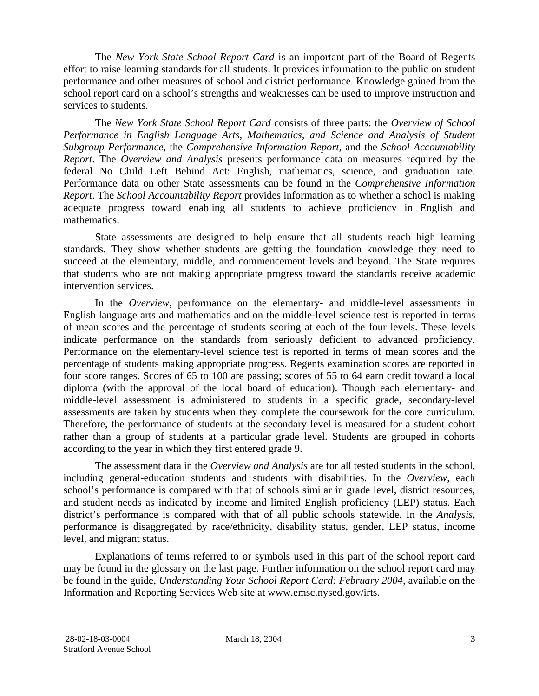The *New York State School Report Card* is an important part of the Board of Regents effort to raise learning standards for all students. It provides information to the public on student performance and other measures of school and district performance. Knowledge gained from the school report card on a school's strengths and weaknesses can be used to improve instruction and services to students.

The *New York State School Report Card* consists of three parts: the *Overview of School Performance in English Language Arts, Mathematics, and Science and Analysis of Student Subgroup Performance,* the *Comprehensive Information Report,* and the *School Accountability Report*. The *Overview and Analysis* presents performance data on measures required by the federal No Child Left Behind Act: English, mathematics, science, and graduation rate. Performance data on other State assessments can be found in the *Comprehensive Information Report*. The *School Accountability Report* provides information as to whether a school is making adequate progress toward enabling all students to achieve proficiency in English and mathematics.

State assessments are designed to help ensure that all students reach high learning standards. They show whether students are getting the foundation knowledge they need to succeed at the elementary, middle, and commencement levels and beyond. The State requires that students who are not making appropriate progress toward the standards receive academic intervention services.

In the *Overview*, performance on the elementary- and middle-level assessments in English language arts and mathematics and on the middle-level science test is reported in terms of mean scores and the percentage of students scoring at each of the four levels. These levels indicate performance on the standards from seriously deficient to advanced proficiency. Performance on the elementary-level science test is reported in terms of mean scores and the percentage of students making appropriate progress. Regents examination scores are reported in four score ranges. Scores of 65 to 100 are passing; scores of 55 to 64 earn credit toward a local diploma (with the approval of the local board of education). Though each elementary- and middle-level assessment is administered to students in a specific grade, secondary-level assessments are taken by students when they complete the coursework for the core curriculum. Therefore, the performance of students at the secondary level is measured for a student cohort rather than a group of students at a particular grade level. Students are grouped in cohorts according to the year in which they first entered grade 9.

The assessment data in the *Overview and Analysis* are for all tested students in the school, including general-education students and students with disabilities. In the *Overview*, each school's performance is compared with that of schools similar in grade level, district resources, and student needs as indicated by income and limited English proficiency (LEP) status. Each district's performance is compared with that of all public schools statewide. In the *Analysis*, performance is disaggregated by race/ethnicity, disability status, gender, LEP status, income level, and migrant status.

Explanations of terms referred to or symbols used in this part of the school report card may be found in the glossary on the last page. Further information on the school report card may be found in the guide, *Understanding Your School Report Card: February 2004*, available on the Information and Reporting Services Web site at www.emsc.nysed.gov/irts.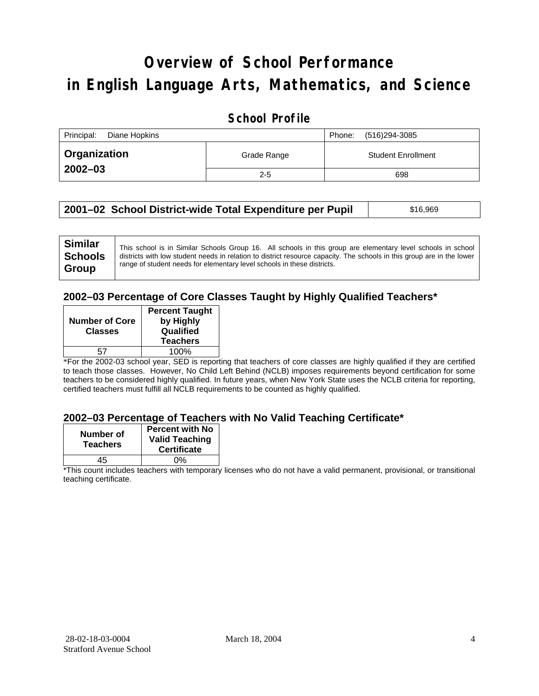# **Overview of School Performance in English Language Arts, Mathematics, and Science**

### **School Profile**

| Principal:<br>Diane Hopkins |             | (516)294-3085<br>Phone:   |
|-----------------------------|-------------|---------------------------|
| <b>Organization</b>         | Grade Range | <b>Student Enrollment</b> |
| $2002 - 03$                 | $2 - 5$     | 698                       |

| 2001–02 School District-wide Total Expenditure per Pupil | \$16,969 |
|----------------------------------------------------------|----------|
|----------------------------------------------------------|----------|

### **2002–03 Percentage of Core Classes Taught by Highly Qualified Teachers\***

| <b>Number of Core</b><br><b>Classes</b> | <b>Percent Taught</b><br>by Highly<br>Qualified<br><b>Teachers</b> |
|-----------------------------------------|--------------------------------------------------------------------|
|                                         |                                                                    |
|                                         | 100%                                                               |
|                                         |                                                                    |

\*For the 2002-03 school year, SED is reporting that teachers of core classes are highly qualified if they are certified to teach those classes. However, No Child Left Behind (NCLB) imposes requirements beyond certification for some teachers to be considered highly qualified. In future years, when New York State uses the NCLB criteria for reporting, certified teachers must fulfill all NCLB requirements to be counted as highly qualified.

#### **2002–03 Percentage of Teachers with No Valid Teaching Certificate\***

| Number of<br><b>Teachers</b> | <b>Percent with No</b><br><b>Valid Teaching</b><br><b>Certificate</b> |
|------------------------------|-----------------------------------------------------------------------|
| 45                           | ሰ%                                                                    |

\*This count includes teachers with temporary licenses who do not have a valid permanent, provisional, or transitional teaching certificate.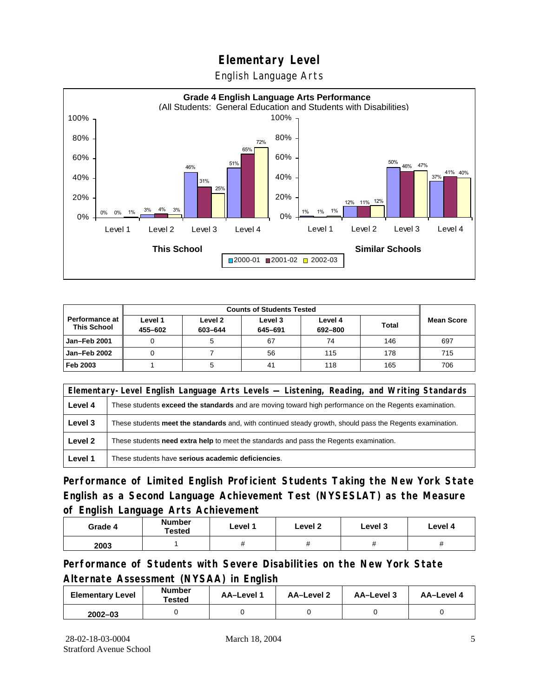English Language Arts



|                                        |                    | <b>Counts of Students Tested</b> |                    |                    |              |                   |
|----------------------------------------|--------------------|----------------------------------|--------------------|--------------------|--------------|-------------------|
| Performance at I<br><b>This School</b> | Level 1<br>455-602 | Level 2<br>603-644               | Level 3<br>645-691 | Level 4<br>692-800 | <b>Total</b> | <b>Mean Score</b> |
| Jan-Feb 2001                           |                    |                                  | 67                 | 74                 | 146          | 697               |
| Jan-Feb 2002                           |                    |                                  | 56                 | 115                | 178          | 715               |
| Feb 2003                               |                    |                                  | 41                 | 118                | 165          | 706               |

|         | Elementary-Level English Language Arts Levels — Listening, Reading, and Writing Standards                 |  |  |  |  |
|---------|-----------------------------------------------------------------------------------------------------------|--|--|--|--|
| Level 4 | These students exceed the standards and are moving toward high performance on the Regents examination.    |  |  |  |  |
| Level 3 | These students meet the standards and, with continued steady growth, should pass the Regents examination. |  |  |  |  |
| Level 2 | These students <b>need extra help</b> to meet the standards and pass the Regents examination.             |  |  |  |  |
| Level 1 | These students have serious academic deficiencies.                                                        |  |  |  |  |

**Performance of Limited English Proficient Students Taking the New York State English as a Second Language Achievement Test (NYSESLAT) as the Measure of English Language Arts Achievement**

| Grade 4 | <b>Number</b><br>Tested | Level 1 | Level 2  | Level 3  | Level 4  |
|---------|-------------------------|---------|----------|----------|----------|
| 2003    |                         |         | $^{\pi}$ | $^{\pi}$ | $^{\pi}$ |

**Performance of Students with Severe Disabilities on the New York State Alternate Assessment (NYSAA) in English** 

| <b>Elementary Level</b> | <b>Number</b><br>Tested | AA-Level 1 | AA-Level 2 | AA-Level 3 | AA-Level 4 |
|-------------------------|-------------------------|------------|------------|------------|------------|
| $2002 - 03$             |                         |            |            |            |            |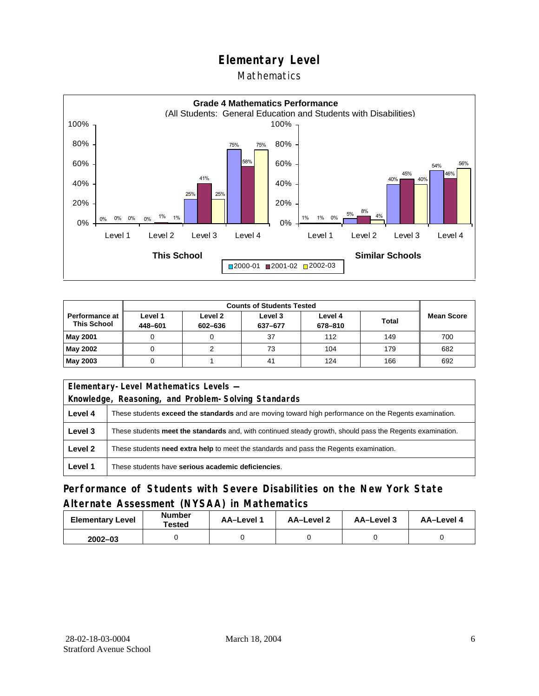### Mathematics



|                                        | <b>Counts of Students Tested</b> |                    |                    |                    |              |                   |
|----------------------------------------|----------------------------------|--------------------|--------------------|--------------------|--------------|-------------------|
| Performance at I<br><b>This School</b> | Level 1<br>448-601               | Level 2<br>602-636 | Level 3<br>637-677 | Level 4<br>678-810 | <b>Total</b> | <b>Mean Score</b> |
| <b>May 2001</b>                        |                                  |                    | 37                 | 112                | 149          | 700               |
| May 2002                               |                                  |                    | 73                 | 104                | 179          | 682               |
| May 2003                               |                                  |                    | 41                 | 124                | 166          | 692               |

|         | Elementary-Level Mathematics Levels -                                                                     |  |  |  |  |
|---------|-----------------------------------------------------------------------------------------------------------|--|--|--|--|
|         | Knowledge, Reasoning, and Problem-Solving Standards                                                       |  |  |  |  |
| Level 4 | These students exceed the standards and are moving toward high performance on the Regents examination.    |  |  |  |  |
| Level 3 | These students meet the standards and, with continued steady growth, should pass the Regents examination. |  |  |  |  |
| Level 2 | These students need extra help to meet the standards and pass the Regents examination.                    |  |  |  |  |
| Level 1 | These students have serious academic deficiencies.                                                        |  |  |  |  |

### **Performance of Students with Severe Disabilities on the New York State Alternate Assessment (NYSAA) in Mathematics**

| <b>Elementary Level</b> | <b>Number</b><br>Tested | <b>AA-Level 1</b> | AA-Level 2 | AA-Level 3 | AA-Level 4 |  |
|-------------------------|-------------------------|-------------------|------------|------------|------------|--|
| $2002 - 03$             |                         |                   |            |            |            |  |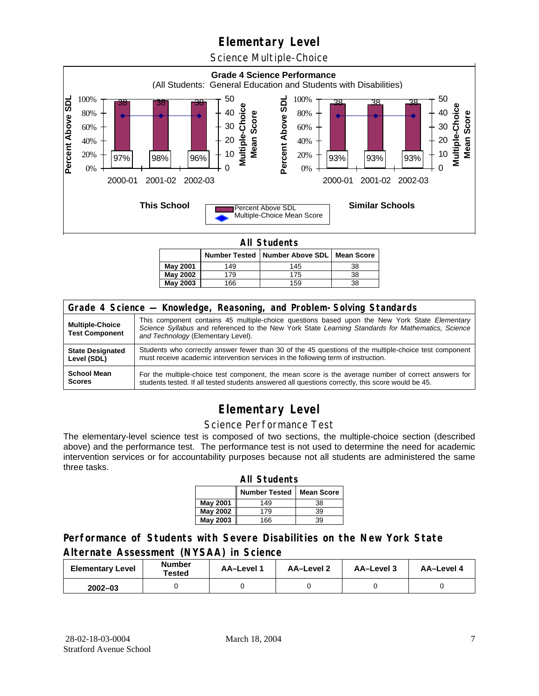Science Multiple-Choice



**All Students** 

|                 |     | Number Tested   Number Above SDL   Mean Score |    |
|-----------------|-----|-----------------------------------------------|----|
| May 2001        | 149 | 145                                           | 38 |
| May 2002        | 179 | 175                                           | 38 |
| <b>May 2003</b> | 166 | 159                                           | 38 |

| Grade 4 Science - Knowledge, Reasoning, and Problem-Solving Standards |                                                                                                                                                                                                                                          |  |  |  |  |  |
|-----------------------------------------------------------------------|------------------------------------------------------------------------------------------------------------------------------------------------------------------------------------------------------------------------------------------|--|--|--|--|--|
| <b>Multiple-Choice</b><br><b>Test Component</b>                       | This component contains 45 multiple-choice questions based upon the New York State Elementary<br>Science Syllabus and referenced to the New York State Learning Standards for Mathematics, Science<br>and Technology (Elementary Level). |  |  |  |  |  |
| <b>State Designated</b>                                               | Students who correctly answer fewer than 30 of the 45 questions of the multiple-choice test component                                                                                                                                    |  |  |  |  |  |
| Level (SDL)                                                           | must receive academic intervention services in the following term of instruction.                                                                                                                                                        |  |  |  |  |  |
| <b>School Mean</b>                                                    | For the multiple-choice test component, the mean score is the average number of correct answers for                                                                                                                                      |  |  |  |  |  |
| <b>Scores</b>                                                         | students tested. If all tested students answered all questions correctly, this score would be 45.                                                                                                                                        |  |  |  |  |  |

## **Elementary Level**

#### Science Performance Test

The elementary-level science test is composed of two sections, the multiple-choice section (described above) and the performance test. The performance test is not used to determine the need for academic intervention services or for accountability purposes because not all students are administered the same three tasks.

| <b>All Students</b>                       |     |    |  |  |  |  |  |  |
|-------------------------------------------|-----|----|--|--|--|--|--|--|
| <b>Number Tested</b><br><b>Mean Score</b> |     |    |  |  |  |  |  |  |
| May 2001                                  | 149 | 38 |  |  |  |  |  |  |
| May 2002                                  | 39  |    |  |  |  |  |  |  |
| <b>May 2003</b>                           | 166 | 39 |  |  |  |  |  |  |

### **Performance of Students with Severe Disabilities on the New York State Alternate Assessment (NYSAA) in Science**

| <b>Elementary Level</b> | <b>Number</b><br>Tested | AA-Level 1 | <b>AA-Level 2</b> | AA-Level 3 | AA-Level 4 |  |
|-------------------------|-------------------------|------------|-------------------|------------|------------|--|
| $2002 - 03$             |                         |            |                   |            |            |  |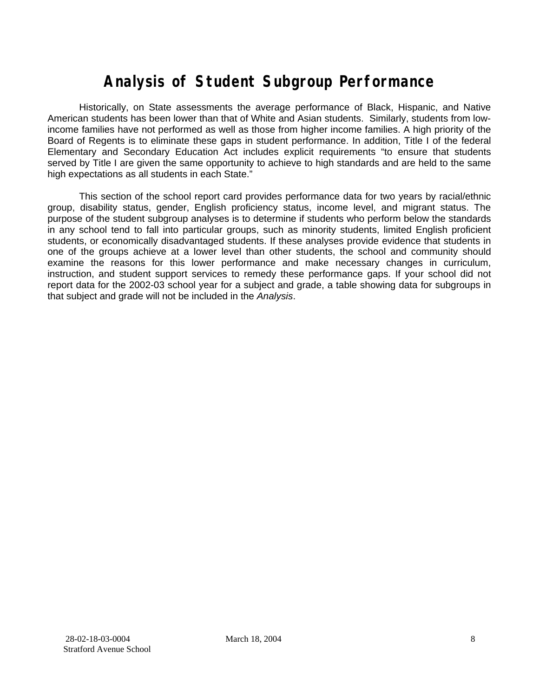# **Analysis of Student Subgroup Performance**

Historically, on State assessments the average performance of Black, Hispanic, and Native American students has been lower than that of White and Asian students. Similarly, students from lowincome families have not performed as well as those from higher income families. A high priority of the Board of Regents is to eliminate these gaps in student performance. In addition, Title I of the federal Elementary and Secondary Education Act includes explicit requirements "to ensure that students served by Title I are given the same opportunity to achieve to high standards and are held to the same high expectations as all students in each State."

This section of the school report card provides performance data for two years by racial/ethnic group, disability status, gender, English proficiency status, income level, and migrant status. The purpose of the student subgroup analyses is to determine if students who perform below the standards in any school tend to fall into particular groups, such as minority students, limited English proficient students, or economically disadvantaged students. If these analyses provide evidence that students in one of the groups achieve at a lower level than other students, the school and community should examine the reasons for this lower performance and make necessary changes in curriculum, instruction, and student support services to remedy these performance gaps. If your school did not report data for the 2002-03 school year for a subject and grade, a table showing data for subgroups in that subject and grade will not be included in the *Analysis*.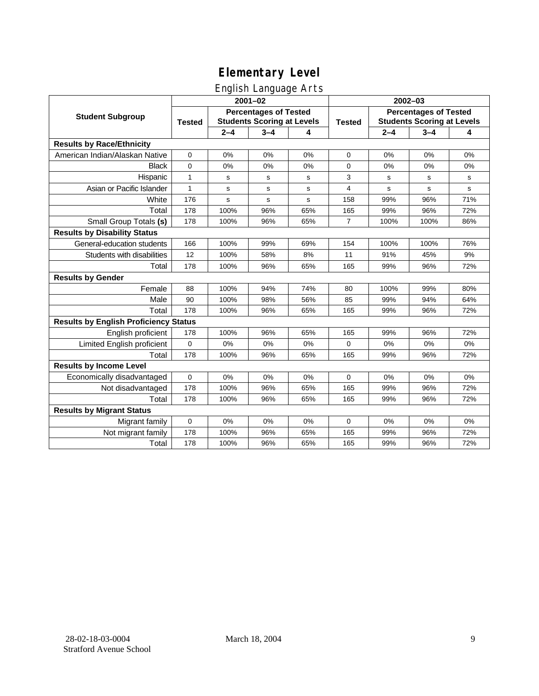### English Language Arts

|                                              | ◡<br>$2001 - 02$                                                                   |         |             |               |                                                                   | 2002-03 |         |             |  |
|----------------------------------------------|------------------------------------------------------------------------------------|---------|-------------|---------------|-------------------------------------------------------------------|---------|---------|-------------|--|
| <b>Student Subgroup</b>                      | <b>Percentages of Tested</b><br><b>Students Scoring at Levels</b><br><b>Tested</b> |         |             | <b>Tested</b> | <b>Percentages of Tested</b><br><b>Students Scoring at Levels</b> |         |         |             |  |
|                                              |                                                                                    | $2 - 4$ | $3 - 4$     | 4             |                                                                   | $2 - 4$ | $3 - 4$ | 4           |  |
| <b>Results by Race/Ethnicity</b>             |                                                                                    |         |             |               |                                                                   |         |         |             |  |
| American Indian/Alaskan Native               | 0                                                                                  | 0%      | 0%          | 0%            | $\mathbf 0$                                                       | 0%      | 0%      | 0%          |  |
| <b>Black</b>                                 | 0                                                                                  | 0%      | 0%          | 0%            | 0                                                                 | 0%      | 0%      | 0%          |  |
| Hispanic                                     | 1                                                                                  | s       | s           | s             | 3                                                                 | s       | s       | s           |  |
| Asian or Pacific Islander                    | 1                                                                                  | s       | $\mathbf s$ | s             | 4                                                                 | s       | s       | $\mathbf s$ |  |
| White                                        | 176                                                                                | s       | $\mathbf s$ | s             | 158                                                               | 99%     | 96%     | 71%         |  |
| Total                                        | 178                                                                                | 100%    | 96%         | 65%           | 165                                                               | 99%     | 96%     | 72%         |  |
| Small Group Totals (s)                       | 178                                                                                | 100%    | 96%         | 65%           | $\overline{7}$                                                    | 100%    | 100%    | 86%         |  |
| <b>Results by Disability Status</b>          |                                                                                    |         |             |               |                                                                   |         |         |             |  |
| General-education students                   | 166                                                                                | 100%    | 99%         | 69%           | 154                                                               | 100%    | 100%    | 76%         |  |
| Students with disabilities                   | 12                                                                                 | 100%    | 58%         | 8%            | 11                                                                | 91%     | 45%     | 9%          |  |
| Total                                        | 178                                                                                | 100%    | 96%         | 65%           | 165                                                               | 99%     | 96%     | 72%         |  |
| <b>Results by Gender</b>                     |                                                                                    |         |             |               |                                                                   |         |         |             |  |
| Female                                       | 88                                                                                 | 100%    | 94%         | 74%           | 80                                                                | 100%    | 99%     | 80%         |  |
| Male                                         | 90                                                                                 | 100%    | 98%         | 56%           | 85                                                                | 99%     | 94%     | 64%         |  |
| Total                                        | 178                                                                                | 100%    | 96%         | 65%           | 165                                                               | 99%     | 96%     | 72%         |  |
| <b>Results by English Proficiency Status</b> |                                                                                    |         |             |               |                                                                   |         |         |             |  |
| English proficient                           | 178                                                                                | 100%    | 96%         | 65%           | 165                                                               | 99%     | 96%     | 72%         |  |
| Limited English proficient                   | 0                                                                                  | 0%      | 0%          | 0%            | $\Omega$                                                          | 0%      | 0%      | 0%          |  |
| Total                                        | 178                                                                                | 100%    | 96%         | 65%           | 165                                                               | 99%     | 96%     | 72%         |  |
| <b>Results by Income Level</b>               |                                                                                    |         |             |               |                                                                   |         |         |             |  |
| Economically disadvantaged                   | $\Omega$                                                                           | 0%      | 0%          | 0%            | $\Omega$                                                          | 0%      | 0%      | 0%          |  |
| Not disadvantaged                            | 178                                                                                | 100%    | 96%         | 65%           | 165                                                               | 99%     | 96%     | 72%         |  |
| Total                                        | 178                                                                                | 100%    | 96%         | 65%           | 165                                                               | 99%     | 96%     | 72%         |  |
| <b>Results by Migrant Status</b>             |                                                                                    |         |             |               |                                                                   |         |         |             |  |
| Migrant family                               | $\mathbf 0$                                                                        | 0%      | 0%          | 0%            | $\mathbf 0$                                                       | 0%      | 0%      | 0%          |  |
| Not migrant family                           | 178                                                                                | 100%    | 96%         | 65%           | 165                                                               | 99%     | 96%     | 72%         |  |
| Total                                        | 178                                                                                | 100%    | 96%         | 65%           | 165                                                               | 99%     | 96%     | 72%         |  |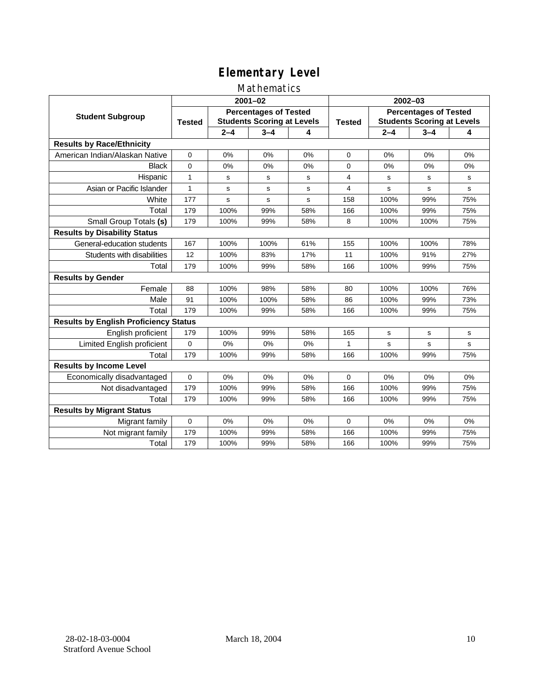### Mathematics

|                                              | $2001 - 02$                                                                        |         |             |               | $2002 - 03$                                                       |             |             |             |
|----------------------------------------------|------------------------------------------------------------------------------------|---------|-------------|---------------|-------------------------------------------------------------------|-------------|-------------|-------------|
| <b>Student Subgroup</b>                      | <b>Percentages of Tested</b><br><b>Students Scoring at Levels</b><br><b>Tested</b> |         |             | <b>Tested</b> | <b>Percentages of Tested</b><br><b>Students Scoring at Levels</b> |             |             |             |
|                                              |                                                                                    | $2 - 4$ | $3 - 4$     | 4             |                                                                   | $2 - 4$     | $3 - 4$     | 4           |
| <b>Results by Race/Ethnicity</b>             |                                                                                    |         |             |               |                                                                   |             |             |             |
| American Indian/Alaskan Native               | $\mathbf 0$                                                                        | 0%      | 0%          | 0%            | $\Omega$                                                          | 0%          | 0%          | 0%          |
| <b>Black</b>                                 | $\Omega$                                                                           | 0%      | 0%          | 0%            | $\Omega$                                                          | 0%          | 0%          | 0%          |
| Hispanic                                     | $\mathbf{1}$                                                                       | s       | s           | s             | 4                                                                 | s           | s           | s           |
| Asian or Pacific Islander                    | 1                                                                                  | s       | $\mathbf s$ | s             | 4                                                                 | $\mathbf s$ | $\mathbf s$ | s           |
| White                                        | 177                                                                                | s       | $\mathbf S$ | s             | 158                                                               | 100%        | 99%         | 75%         |
| Total                                        | 179                                                                                | 100%    | 99%         | 58%           | 166                                                               | 100%        | 99%         | 75%         |
| Small Group Totals (s)                       | 179                                                                                | 100%    | 99%         | 58%           | 8                                                                 | 100%        | 100%        | 75%         |
| <b>Results by Disability Status</b>          |                                                                                    |         |             |               |                                                                   |             |             |             |
| General-education students                   | 167                                                                                | 100%    | 100%        | 61%           | 155                                                               | 100%        | 100%        | 78%         |
| Students with disabilities                   | 12                                                                                 | 100%    | 83%         | 17%           | 11                                                                | 100%        | 91%         | 27%         |
| Total                                        | 179                                                                                | 100%    | 99%         | 58%           | 166                                                               | 100%        | 99%         | 75%         |
| <b>Results by Gender</b>                     |                                                                                    |         |             |               |                                                                   |             |             |             |
| Female                                       | 88                                                                                 | 100%    | 98%         | 58%           | 80                                                                | 100%        | 100%        | 76%         |
| Male                                         | 91                                                                                 | 100%    | 100%        | 58%           | 86                                                                | 100%        | 99%         | 73%         |
| Total                                        | 179                                                                                | 100%    | 99%         | 58%           | 166                                                               | 100%        | 99%         | 75%         |
| <b>Results by English Proficiency Status</b> |                                                                                    |         |             |               |                                                                   |             |             |             |
| English proficient                           | 179                                                                                | 100%    | 99%         | 58%           | 165                                                               | s           | s           | s           |
| Limited English proficient                   | $\mathbf 0$                                                                        | 0%      | 0%          | 0%            | $\mathbf{1}$                                                      | s           | $\mathbf s$ | $\mathbf s$ |
| Total                                        | 179                                                                                | 100%    | 99%         | 58%           | 166                                                               | 100%        | 99%         | 75%         |
| <b>Results by Income Level</b>               |                                                                                    |         |             |               |                                                                   |             |             |             |
| Economically disadvantaged                   | $\Omega$                                                                           | 0%      | 0%          | 0%            | $\Omega$                                                          | 0%          | 0%          | 0%          |
| Not disadvantaged                            | 179                                                                                | 100%    | 99%         | 58%           | 166                                                               | 100%        | 99%         | 75%         |
| Total                                        | 179                                                                                | 100%    | 99%         | 58%           | 166                                                               | 100%        | 99%         | 75%         |
| <b>Results by Migrant Status</b>             |                                                                                    |         |             |               |                                                                   |             |             |             |
| Migrant family                               | $\mathbf 0$                                                                        | 0%      | 0%          | 0%            | $\Omega$                                                          | 0%          | 0%          | 0%          |
| Not migrant family                           | 179                                                                                | 100%    | 99%         | 58%           | 166                                                               | 100%        | 99%         | 75%         |
| Total                                        | 179                                                                                | 100%    | 99%         | 58%           | 166                                                               | 100%        | 99%         | 75%         |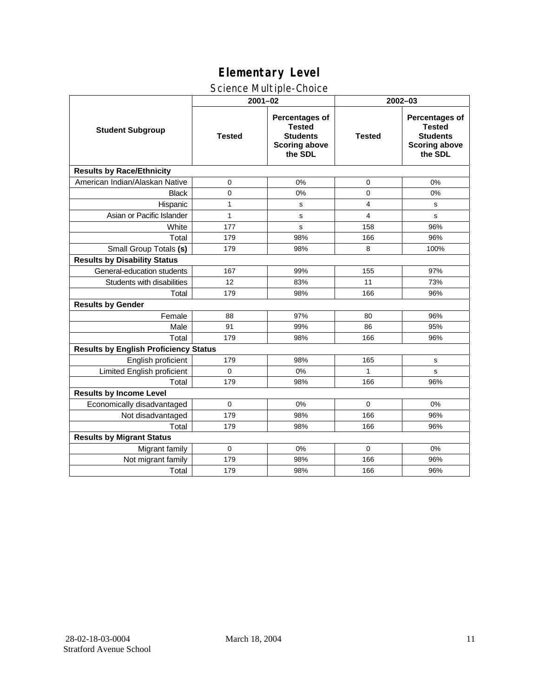### Science Multiple-Choice

|                                              | $2001 - 02$   |                                                                                              | 2002-03        |                                                                                              |  |  |
|----------------------------------------------|---------------|----------------------------------------------------------------------------------------------|----------------|----------------------------------------------------------------------------------------------|--|--|
| <b>Student Subgroup</b>                      | <b>Tested</b> | <b>Percentages of</b><br><b>Tested</b><br><b>Students</b><br><b>Scoring above</b><br>the SDL | <b>Tested</b>  | <b>Percentages of</b><br><b>Tested</b><br><b>Students</b><br><b>Scoring above</b><br>the SDL |  |  |
| <b>Results by Race/Ethnicity</b>             |               |                                                                                              |                |                                                                                              |  |  |
| American Indian/Alaskan Native               | 0             | 0%                                                                                           | 0              | 0%                                                                                           |  |  |
| <b>Black</b>                                 | $\mathbf 0$   | 0%                                                                                           | 0              | 0%                                                                                           |  |  |
| Hispanic                                     | 1             | s                                                                                            | 4              | s                                                                                            |  |  |
| Asian or Pacific Islander                    | $\mathbf{1}$  | s                                                                                            | $\overline{4}$ | s                                                                                            |  |  |
| White                                        | 177           | s                                                                                            | 158            | 96%                                                                                          |  |  |
| Total                                        | 179           | 98%                                                                                          | 166            | 96%                                                                                          |  |  |
| Small Group Totals (s)                       | 179           | 98%                                                                                          | 8              | 100%                                                                                         |  |  |
| <b>Results by Disability Status</b>          |               |                                                                                              |                |                                                                                              |  |  |
| General-education students                   | 167           | 99%                                                                                          | 155            | 97%                                                                                          |  |  |
| Students with disabilities                   | 12            | 83%                                                                                          | 11             | 73%                                                                                          |  |  |
| Total                                        | 179           | 98%                                                                                          | 166            | 96%                                                                                          |  |  |
| <b>Results by Gender</b>                     |               |                                                                                              |                |                                                                                              |  |  |
| Female                                       | 88            | 97%                                                                                          | 80             | 96%                                                                                          |  |  |
| Male                                         | 91            | 99%                                                                                          | 86             | 95%                                                                                          |  |  |
| Total                                        | 179           | 98%                                                                                          | 166            | 96%                                                                                          |  |  |
| <b>Results by English Proficiency Status</b> |               |                                                                                              |                |                                                                                              |  |  |
| English proficient                           | 179           | 98%                                                                                          | 165            | s                                                                                            |  |  |
| Limited English proficient                   | $\Omega$      | 0%                                                                                           | 1              | s                                                                                            |  |  |
| Total                                        | 179           | 98%                                                                                          | 166            | 96%                                                                                          |  |  |
| <b>Results by Income Level</b>               |               |                                                                                              |                |                                                                                              |  |  |
| Economically disadvantaged                   | $\Omega$      | 0%                                                                                           | $\Omega$       | 0%                                                                                           |  |  |
| Not disadvantaged                            | 179           | 98%                                                                                          | 166            | 96%                                                                                          |  |  |
| Total                                        | 179           | 98%                                                                                          | 166            | 96%                                                                                          |  |  |
| <b>Results by Migrant Status</b>             |               |                                                                                              |                |                                                                                              |  |  |
| Migrant family                               | $\mathbf 0$   | 0%                                                                                           | $\Omega$       | 0%                                                                                           |  |  |
| Not migrant family                           | 179           | 98%                                                                                          | 166            | 96%                                                                                          |  |  |
| Total                                        | 179           | 98%                                                                                          | 166            | 96%                                                                                          |  |  |